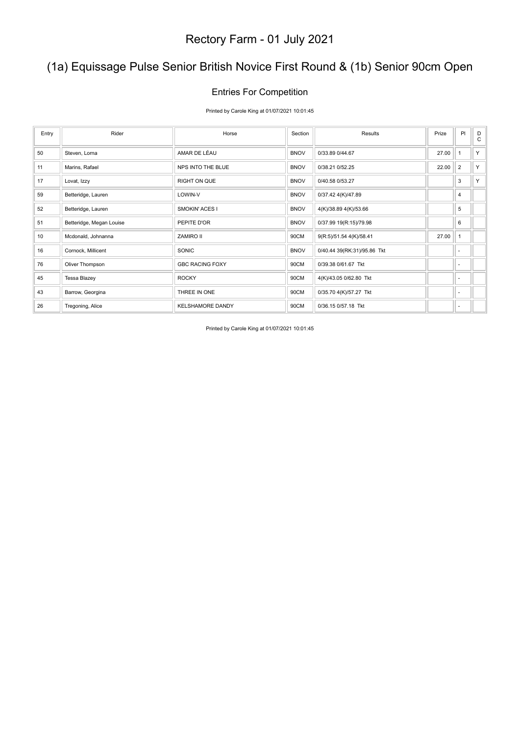## (1a) Equissage Pulse Senior British Novice First Round & (1b) Senior 90cm Open

#### Entries For Competition

Printed by Carole King at 01/07/2021 10:01:45

| Entry | Rider                    | Horse                   | Section     | Results                     | Prize | PI             | D<br>C |
|-------|--------------------------|-------------------------|-------------|-----------------------------|-------|----------------|--------|
| 50    | Steven, Lorna            | AMAR DE LÉAU            | <b>BNOV</b> | 0/33.89 0/44.67             | 27.00 | $\mathbf{1}$   | Y      |
| 11    | Marins, Rafael           | NPS INTO THE BLUE       | <b>BNOV</b> | 0/38.21 0/52.25             | 22.00 | $\overline{2}$ | Y      |
| 17    | Lovat, Izzy              | <b>RIGHT ON QUE</b>     | <b>BNOV</b> | 0/40.58 0/53.27             |       | 3              | Y      |
| 59    | Betteridge, Lauren       | LOWIN-V                 | <b>BNOV</b> | 0/37.42 4(K)/47.89          |       | 4              |        |
| 52    | Betteridge, Lauren       | <b>SMOKIN' ACES I</b>   | <b>BNOV</b> | 4(K)/38.89 4(K)/53.66       |       | 5              |        |
| 51    | Betteridge, Megan Louise | PEPITE D'OR             | <b>BNOV</b> | 0/37.99 19(R:15)/79.98      |       | 6              |        |
| 10    | Mcdonald, Johnanna       | ZAMIRO II               | 90CM        | 9(R:5)/51.54 4(K)/58.41     | 27.00 | $\mathbf{1}$   |        |
| 16    | Cornock, Millicent       | SONIC                   | <b>BNOV</b> | 0/40.44 39(RK:31)/95.86 Tkt |       | ٠              |        |
| 76    | Oliver Thompson          | <b>GBC RACING FOXY</b>  | 90CM        | 0/39.38 0/61.67 Tkt         |       | ٠              |        |
| 45    | Tessa Blazey             | <b>ROCKY</b>            | 90CM        | 4(K)/43.05 0/62.80 Tkt      |       | ٠              |        |
| 43    | Barrow, Georgina         | THREE IN ONE            | 90CM        | 0/35.70 4(K)/57.27 Tkt      |       | ٠              |        |
| 26    | Tregoning, Alice         | <b>KELSHAMORE DANDY</b> | 90CM        | 0/36.15 0/57.18 Tkt         |       | ٠              |        |

Printed by Carole King at 01/07/2021 10:01:45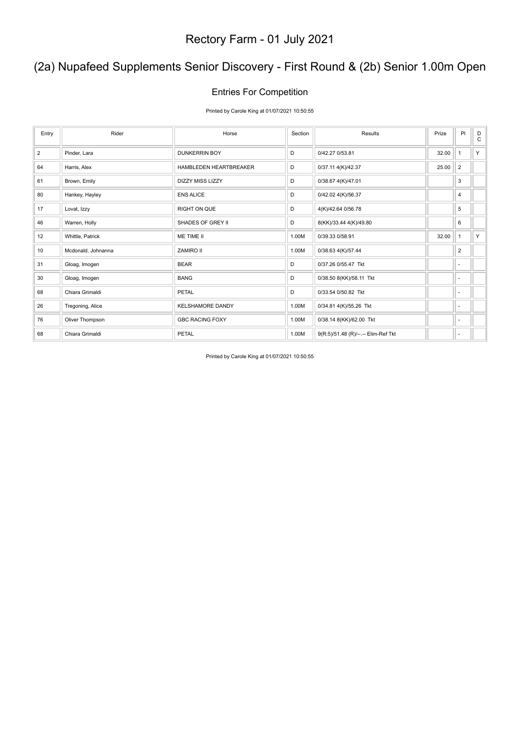## (2a) Nupafeed Supplements Senior Discovery - First Round & (2b) Senior 1.00m Open

#### Entries For Competition

Printed by Carole King at 01/07/2021 10:50:55

| Entry          | Rider              | Horse                   | Section | Results                             | Prize | PI             | D<br>C |
|----------------|--------------------|-------------------------|---------|-------------------------------------|-------|----------------|--------|
| $\overline{2}$ | Pinder, Lara       | <b>DUNKERRIN BOY</b>    | D       | 0/42.27 0/53.81                     | 32.00 | $\mathbf{1}$   | Y      |
| 64             | Harris, Alex       | HAMBLEDEN HEARTBREAKER  | D       | 0/37.11 4(K)/42.37                  | 25.00 | $\overline{2}$ |        |
| 61             | Brown, Emily       | <b>DIZZY MISS LIZZY</b> | D       | 0/38.67 4(K)/47.01                  |       | 3              |        |
| 80             | Hankey, Hayley     | <b>ENS ALICE</b>        | D       | 0/42.02 4(K)/56.37                  |       | 4              |        |
| 17             | Lovat, Izzy        | <b>RIGHT ON QUE</b>     | D       | 4(K)/42.64 0/56.78                  |       | 5              |        |
| 46             | Warren, Holly      | SHADES OF GREY II       | D       | 8(KK)/33.44 4(K)/49.80              |       | 6              |        |
| 12             | Whittle, Patrick   | ME TIME II              | 1.00M   | 0/39.33 0/58.91                     | 32.00 | $\mathbf{1}$   | Y.     |
| 10             | Mcdonald, Johnanna | ZAMIRO II               | 1.00M   | 0/38.63 4(K)/57.44                  |       | $\overline{2}$ |        |
| 31             | Gloag, Imogen      | <b>BEAR</b>             | D       | 0/37.26 0/55.47 Tkt                 |       | $\sim$         |        |
| 30             | Gloag, Imogen      | <b>BANG</b>             | D       | 0/38.50 8(KK)/58.11 Tkt             |       | $\sim$         |        |
| 68             | Chiara Grimaldi    | PETAL                   | D       | 0/33.54 0/50.82 Tkt                 |       | $\sim$         |        |
| 26             | Tregoning, Alice   | <b>KELSHAMORE DANDY</b> | 1.00M   | 0/34.81 4(K)/55.26 Tkt              |       | $\sim$         |        |
| 76             | Oliver Thompson    | <b>GBC RACING FOXY</b>  | 1.00M   | 0/38.14 8(KK)/62.00 Tkt             |       | $\sim$         |        |
| 68             | Chiara Grimaldi    | <b>PETAL</b>            | 1.00M   | 9(R:5)/51.48 (R)/--.-- Elim-Ref Tkt |       | ٠              |        |

Printed by Carole King at 01/07/2021 10:50:55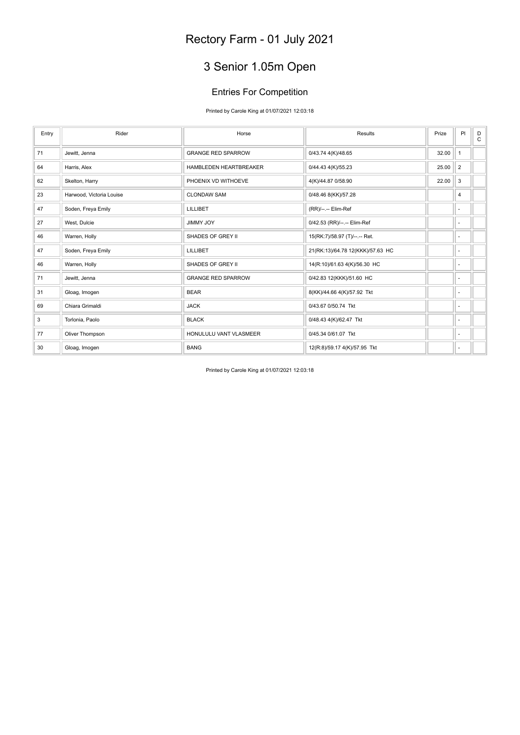## 3 Senior 1.05m Open

### Entries For Competition

Printed by Carole King at 01/07/2021 12:03:18

| Entry | Rider                    | Horse                     | Results                          | Prize | PI             | D<br>$\mathbf C$ |
|-------|--------------------------|---------------------------|----------------------------------|-------|----------------|------------------|
| 71    | Jewitt, Jenna            | <b>GRANGE RED SPARROW</b> | 0/43.74 4(K)/48.65               | 32.00 | $\mathbf{1}$   |                  |
| 64    | Harris, Alex             | HAMBLEDEN HEARTBREAKER    | 0/44.43 4(K)/55.23               | 25.00 | $\overline{2}$ |                  |
| 62    | Skelton, Harry           | PHOENIX VD WITHOEVE       | 4(K)/44.87 0/58.90               | 22.00 | 3              |                  |
| 23    | Harwood, Victoria Louise | <b>CLONDAW SAM</b>        | 0/48.46 8(KK)/57.28              |       | 4              |                  |
| 47    | Soden, Freya Emily       | LILLIBET                  | (RR)/--.-- Elim-Ref              |       | ٠              |                  |
| 27    | West, Dulcie             | <b>JIMMY JOY</b>          | 0/42.53 (RR)/--.-- Elim-Ref      |       | ٠              |                  |
| 46    | Warren, Holly            | SHADES OF GREY II         | 15(RK:7)/58.97 (T)/--.-- Ret.    |       | ٠              |                  |
| 47    | Soden, Freya Emily       | LILLIBET                  | 21(RK:13)/64.78 12(KKK)/57.63 HC |       | ٠              |                  |
| 46    | Warren, Holly            | SHADES OF GREY II         | 14(R:10)/61.63 4(K)/56.30 HC     |       | ٠              |                  |
| 71    | Jewitt, Jenna            | <b>GRANGE RED SPARROW</b> | 0/42.83 12(KKK)/51.60 HC         |       | ٠              |                  |
| 31    | Gloag, Imogen            | <b>BEAR</b>               | 8(KK)/44.66 4(K)/57.92 Tkt       |       | ٠              |                  |
| 69    | Chiara Grimaldi          | <b>JACK</b>               | 0/43.67 0/50.74 Tkt              |       | ٠              |                  |
| 3     | Torlonia, Paolo          | <b>BLACK</b>              | 0/48.43 4(K)/62.47 Tkt           |       | $\sim$         |                  |
| 77    | Oliver Thompson          | HONULULU VANT VLASMEER    | 0/45.34 0/61.07 Tkt              |       | ÷              |                  |
| 30    | Gloag, Imogen            | <b>BANG</b>               | 12(R:8)/59.17 4(K)/57.95 Tkt     |       | ٠              |                  |

Printed by Carole King at 01/07/2021 12:03:18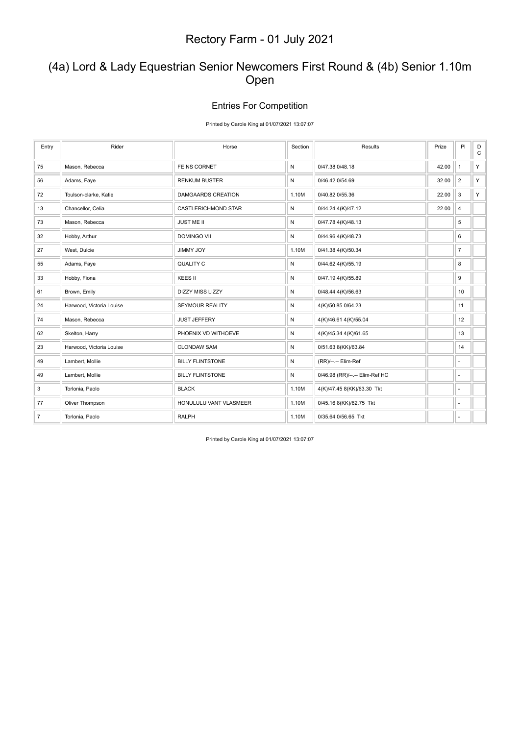### (4a) Lord & Lady Equestrian Senior Newcomers First Round & (4b) Senior 1.10m Open

#### Entries For Competition

Printed by Carole King at 01/07/2021 13:07:07

| Entry          | Rider                    | Horse                      | Section      | Results                        | Prize | PI                       | D<br>$\mathsf C$ |
|----------------|--------------------------|----------------------------|--------------|--------------------------------|-------|--------------------------|------------------|
| 75             | Mason, Rebecca           | <b>FEINS CORNET</b>        | N            | 0/47.38 0/48.18                | 42.00 | $\mathbf{1}$             | Y.               |
| 56             | Adams, Faye              | <b>RENKUM BUSTER</b>       | N            | 0/46.42 0/54.69                | 32.00 | $\overline{2}$           | Y.               |
| 72             | Toulson-clarke, Katie    | DAMGAARDS CREATION         | 1.10M        | 0/40.82 0/55.36                | 22.00 | 3                        | Y.               |
| 13             | Chancellor, Celia        | <b>CASTLERICHMOND STAR</b> | N            | 0/44.24 4(K)/47.12             | 22.00 | 4                        |                  |
| 73             | Mason, Rebecca           | <b>JUST ME II</b>          | $\mathsf{N}$ | 0/47.78 4(K)/48.13             |       | 5                        |                  |
| 32             | Hobby, Arthur            | <b>DOMINGO VII</b>         | N            | 0/44.96 4(K)/48.73             |       | 6                        |                  |
| 27             | West, Dulcie             | JIMMY JOY                  | 1.10M        | 0/41.38 4(K)/50.34             |       | $\overline{7}$           |                  |
| 55             | Adams, Faye              | <b>QUALITY C</b>           | $\mathsf{N}$ | 0/44.62 4(K)/55.19             |       | 8                        |                  |
| 33             | Hobby, Fiona             | KEES II                    | $\mathsf{N}$ | 0/47.19 4(K)/55.89             |       | 9                        |                  |
| 61             | Brown, Emily             | <b>DIZZY MISS LIZZY</b>    | N            | 0/48.44 4(K)/56.63             |       | 10                       |                  |
| 24             | Harwood, Victoria Louise | SEYMOUR REALITY            | $\mathsf{N}$ | 4(K)/50.85 0/64.23             |       | 11                       |                  |
| 74             | Mason, Rebecca           | <b>JUST JEFFERY</b>        | $\mathsf{N}$ | 4(K)/46.61 4(K)/55.04          |       | 12                       |                  |
| 62             | Skelton, Harry           | PHOENIX VD WITHOEVE        | N            | 4(K)/45.34 4(K)/61.65          |       | 13                       |                  |
| 23             | Harwood, Victoria Louise | <b>CLONDAW SAM</b>         | $\mathsf{N}$ | 0/51.63 8(KK)/63.84            |       | 14                       |                  |
| 49             | Lambert, Mollie          | <b>BILLY FLINTSTONE</b>    | N            | (RR)/--.-- Elim-Ref            |       | $\overline{a}$           |                  |
| 49             | Lambert, Mollie          | <b>BILLY FLINTSTONE</b>    | N            | 0/46.98 (RR)/--.-- Elim-Ref HC |       | ÷,                       |                  |
| 3              | Torlonia, Paolo          | <b>BLACK</b>               | 1.10M        | 4(K)/47.45 8(KK)/63.30 Tkt     |       | $\overline{\phantom{a}}$ |                  |
| 77             | Oliver Thompson          | HONULULU VANT VLASMEER     | 1.10M        | 0/45.16 8(KK)/62.75 Tkt        |       | ٠                        |                  |
| $\overline{7}$ | Torlonia, Paolo          | <b>RALPH</b>               | 1.10M        | 0/35.64 0/56.65 Tkt            |       | ٠                        |                  |

Printed by Carole King at 01/07/2021 13:07:07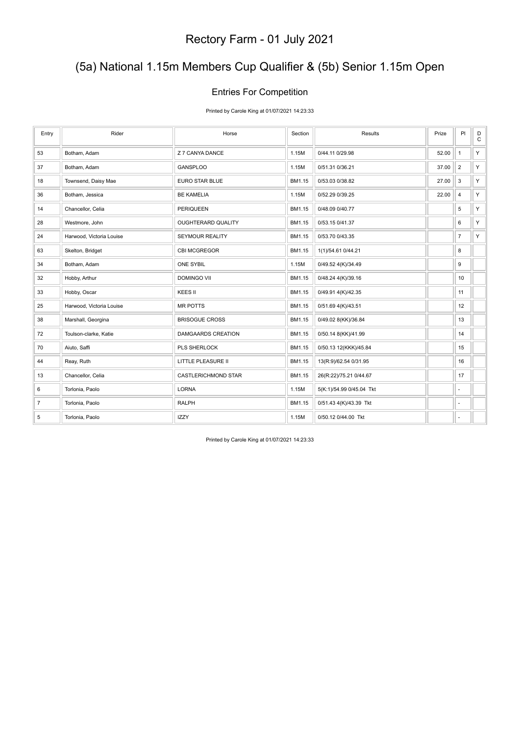## (5a) National 1.15m Members Cup Qualifier & (5b) Senior 1.15m Open

#### Entries For Competition

Printed by Carole King at 01/07/2021 14:23:33

| Entry          | Rider                    | Horse                  | Section | Results                  | Prize | PI                       | $_\mathrm{C}^\mathrm{D}$ |
|----------------|--------------------------|------------------------|---------|--------------------------|-------|--------------------------|--------------------------|
| 53             | Botham, Adam             | Z 7 CANYA DANCE        | 1.15M   | 0/44.11 0/29.98          | 52.00 | $\mathbf{1}$             | Y.                       |
| 37             | Botham, Adam             | <b>GANSPLOO</b>        | 1.15M   | 0/51.31 0/36.21          | 37.00 | $\overline{2}$           | Y.                       |
| 18             | Townsend, Daisy Mae      | <b>EURO STAR BLUE</b>  | BM1.15  | 0/53.03 0/38.82          | 27.00 | 3                        | Y.                       |
| 36             | Botham, Jessica          | <b>BE KAMELIA</b>      | 1.15M   | 0/52.29 0/39.25          | 22.00 | $\overline{4}$           | Y.                       |
| 14             | Chancellor, Celia        | <b>PERIQUEEN</b>       | BM1.15  | 0/48.09 0/40.77          |       | 5                        | Y.                       |
| 28             | Westmore, John           | OUGHTERARD QUALITY     | BM1.15  | 0/53.15 0/41.37          |       | 6                        | Y.                       |
| 24             | Harwood, Victoria Louise | <b>SEYMOUR REALITY</b> | BM1.15  | 0/53.70 0/43.35          |       | $\overline{7}$           | Y.                       |
| 63             | Skelton, Bridget         | CBI MCGREGOR           | BM1.15  | 1(1)/54.61 0/44.21       |       | 8                        |                          |
| 34             | Botham, Adam             | <b>ONE SYBIL</b>       | 1.15M   | 0/49.52 4(K)/34.49       |       | 9                        |                          |
| 32             | Hobby, Arthur            | <b>DOMINGO VII</b>     | BM1.15  | 0/48.24 4(K)/39.16       |       | 10                       |                          |
| 33             | Hobby, Oscar             | KEES II                | BM1.15  | 0/49.91 4(K)/42.35       |       | 11                       |                          |
| 25             | Harwood, Victoria Louise | <b>MR POTTS</b>        | BM1.15  | 0/51.69 4(K)/43.51       |       | 12                       |                          |
| 38             | Marshall, Georgina       | <b>BRISOGUE CROSS</b>  | BM1.15  | 0/49.02 8(KK)/36.84      |       | 13                       |                          |
| 72             | Toulson-clarke, Katie    | DAMGAARDS CREATION     | BM1.15  | 0/50.14 8(KK)/41.99      |       | 14                       |                          |
| 70             | Aiuto, Saffi             | PLS SHERLOCK           | BM1.15  | 0/50.13 12(KKK)/45.84    |       | 15                       |                          |
| 44             | Reay, Ruth               | LITTLE PLEASURE II     | BM1.15  | 13(R:9)/62.54 0/31.95    |       | 16                       |                          |
| 13             | Chancellor, Celia        | CASTLERICHMOND STAR    | BM1.15  | 26(R:22)/75.21 0/44.67   |       | 17                       |                          |
| 6              | Torlonia, Paolo          | <b>LORNA</b>           | 1.15M   | 5(K:1)/54.99 0/45.04 Tkt |       | ÷,                       |                          |
| $\overline{7}$ | Torlonia, Paolo          | <b>RALPH</b>           | BM1.15  | 0/51.43 4(K)/43.39 Tkt   |       | $\overline{\phantom{a}}$ |                          |
| 5              | Torlonia, Paolo          | <b>IZZY</b>            | 1.15M   | 0/50.12 0/44.00 Tkt      |       | ٠                        |                          |

Printed by Carole King at 01/07/2021 14:23:33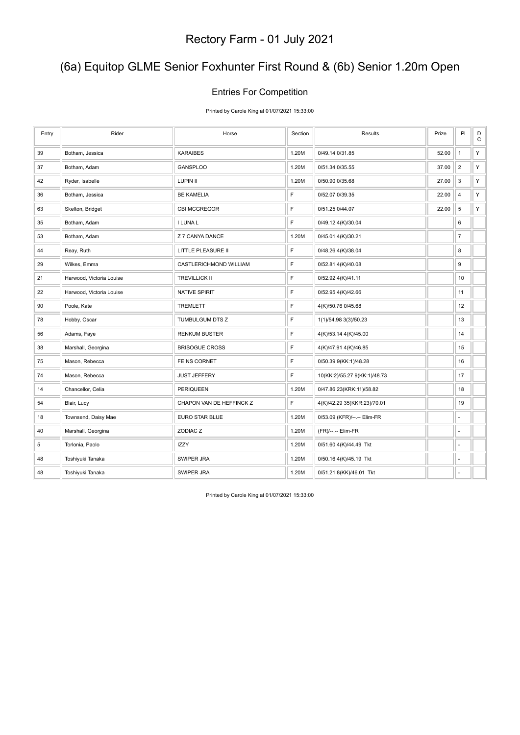## (6a) Equitop GLME Senior Foxhunter First Round & (6b) Senior 1.20m Open

#### Entries For Competition

Printed by Carole King at 01/07/2021 15:33:00

| Entry | Rider                    | Horse                     | Section     | Results                      | Prize | PI               | $_{\rm C}^{\rm D}$ |
|-------|--------------------------|---------------------------|-------------|------------------------------|-------|------------------|--------------------|
| 39    | Botham, Jessica          | <b>KARAIBES</b>           | 1.20M       | 0/49.14 0/31.85              | 52.00 | $\mathbf{1}$     | Y                  |
| 37    | Botham, Adam             | <b>GANSPLOO</b>           | 1.20M       | 0/51.34 0/35.55              | 37.00 | $\overline{2}$   | Y                  |
| 42    | Ryder, Isabelle          | LUPIN II                  | 1.20M       | 0/50.90 0/35.68              | 27.00 | 3                | Y                  |
| 36    | Botham, Jessica          | <b>BE KAMELIA</b>         | $\mathsf F$ | 0/52.07 0/39.35              | 22.00 | $\overline{4}$   | Υ                  |
| 63    | Skelton, Bridget         | CBI MCGREGOR              | F           | 0/51.25 0/44.07              | 22.00 | $\sqrt{5}$       | Y                  |
| 35    | Botham, Adam             | I LUNA L                  | E           | 0/49.12 4(K)/30.04           |       | 6                |                    |
| 53    | Botham, Adam             | Z 7 CANYA DANCE           | 1.20M       | 0/45.01 4(K)/30.21           |       | $\overline{7}$   |                    |
| 44    | Reay, Ruth               | <b>LITTLE PLEASURE II</b> | $\mathsf F$ | 0/48.26 4(K)/38.04           |       | 8                |                    |
| 29    | Wilkes, Emma             | CASTLERICHMOND WILLIAM    | F           | 0/52.81 4(K)/40.08           |       | $\boldsymbol{9}$ |                    |
| 21    | Harwood, Victoria Louise | <b>TREVILLICK II</b>      | $\mathsf F$ | 0/52.92 4(K)/41.11           |       | 10               |                    |
| 22    | Harwood, Victoria Louise | NATIVE SPIRIT             | $\mathsf F$ | 0/52.95 4(K)/42.66           |       | 11               |                    |
| 90    | Poole, Kate              | <b>TREMLETT</b>           | $\mathsf F$ | 4(K)/50.76 0/45.68           |       | 12               |                    |
| 78    | Hobby, Oscar             | TUMBULGUM DTS Z           | F           | 1(1)/54.98 3(3)/50.23        |       | 13               |                    |
| 56    | Adams, Faye              | <b>RENKUM BUSTER</b>      | $\mathsf F$ | 4(K)/53.14 4(K)/45.00        |       | 14               |                    |
| 38    | Marshall, Georgina       | <b>BRISOGUE CROSS</b>     | F           | 4(K)/47.91 4(K)/46.85        |       | 15               |                    |
| 75    | Mason, Rebecca           | <b>FEINS CORNET</b>       | $\mathsf F$ | 0/50.39 9(KK:1)/48.28        |       | 16               |                    |
| 74    | Mason, Rebecca           | <b>JUST JEFFERY</b>       | E           | 10(KK:2)/55.27 9(KK:1)/48.73 |       | 17               |                    |
| 14    | Chancellor, Celia        | PERIQUEEN                 | 1.20M       | 0/47.86 23(KRK:11)/58.82     |       | 18               |                    |
| 54    | Blair, Lucy              | CHAPON VAN DE HEFFINCK Z  | $\mathsf F$ | 4(K)/42.29 35(KKR:23)/70.01  |       | 19               |                    |
| 18    | Townsend, Daisy Mae      | <b>EURO STAR BLUE</b>     | 1.20M       | 0/53.09 (KFR)/--.-- Elim-FR  |       | ä,               |                    |
| 40    | Marshall, Georgina       | ZODIAC Z                  | 1.20M       | (FR)/--.-- Elim-FR           |       | ä,               |                    |
| 5     | Torlonia, Paolo          | <b>IZZY</b>               | 1.20M       | 0/51.60 4(K)/44.49 Tkt       |       | ä,               |                    |
| 48    | Toshiyuki Tanaka         | SWIPER JRA                | 1.20M       | 0/50.16 4(K)/45.19 Tkt       |       |                  |                    |
| 48    | Toshiyuki Tanaka         | SWIPER JRA                | 1.20M       | 0/51.21 8(KK)/46.01 Tkt      |       |                  |                    |

Printed by Carole King at 01/07/2021 15:33:00